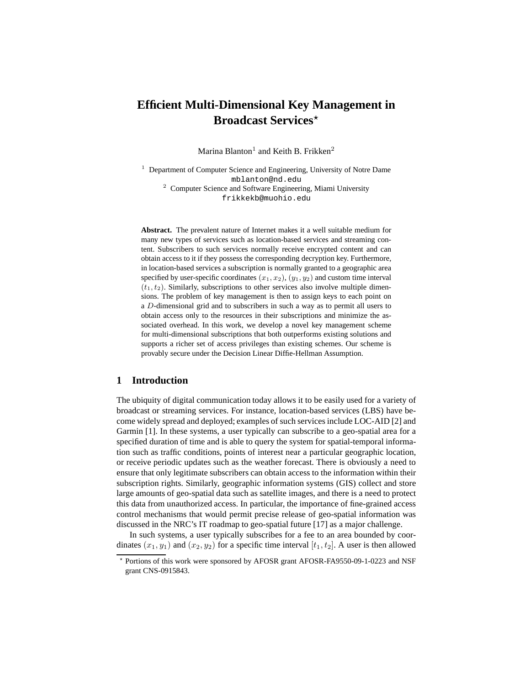# **Efficient Multi-Dimensional Key Management in Broadcast Services**<sup>\*</sup>

Marina Blanton<sup>1</sup> and Keith B. Frikken<sup>2</sup>

<sup>1</sup> Department of Computer Science and Engineering, University of Notre Dame mblanton@nd.edu <sup>2</sup> Computer Science and Software Engineering, Miami University frikkekb@muohio.edu

**Abstract.** The prevalent nature of Internet makes it a well suitable medium for many new types of services such as location-based services and streaming content. Subscribers to such services normally receive encrypted content and can obtain access to it if they possess the corresponding decryption key. Furthermore, in location-based services a subscription is normally granted to a geographic area specified by user-specific coordinates  $(x_1, x_2), (y_1, y_2)$  and custom time interval  $(t_1, t_2)$ . Similarly, subscriptions to other services also involve multiple dimensions. The problem of key management is then to assign keys to each point on a D-dimensional grid and to subscribers in such a way as to permit all users to obtain access only to the resources in their subscriptions and minimize the associated overhead. In this work, we develop a novel key management scheme for multi-dimensional subscriptions that both outperforms existing solutions and supports a richer set of access privileges than existing schemes. Our scheme is provably secure under the Decision Linear Diffie-Hellman Assumption.

# **1 Introduction**

The ubiquity of digital communication today allows it to be easily used for a variety of broadcast or streaming services. For instance, location-based services (LBS) have become widely spread and deployed; examples of such services include LOC-AID [2] and Garmin [1]. In these systems, a user typically can subscribe to a geo-spatial area for a specified duration of time and is able to query the system for spatial-temporal information such as traffic conditions, points of interest near a particular geographic location, or receive periodic updates such as the weather forecast. There is obviously a need to ensure that only legitimate subscribers can obtain access to the information within their subscription rights. Similarly, geographic information systems (GIS) collect and store large amounts of geo-spatial data such as satellite images, and there is a need to protect this data from unauthorized access. In particular, the importance of fine-grained access control mechanisms that would permit precise release of geo-spatial information was discussed in the NRC's IT roadmap to geo-spatial future [17] as a major challenge.

In such systems, a user typically subscribes for a fee to an area bounded by coordinates  $(x_1, y_1)$  and  $(x_2, y_2)$  for a specific time interval  $[t_1, t_2]$ . A user is then allowed

<sup>⋆</sup> Portions of this work were sponsored by AFOSR grant AFOSR-FA9550-09-1-0223 and NSF grant CNS-0915843.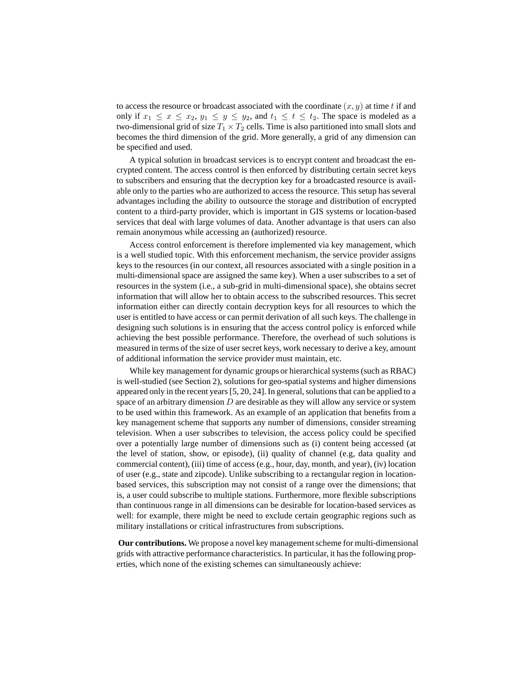to access the resource or broadcast associated with the coordinate  $(x, y)$  at time t if and only if  $x_1 \le x \le x_2, y_1 \le y \le y_2$ , and  $t_1 \le t \le t_2$ . The space is modeled as a two-dimensional grid of size  $T_1 \times T_2$  cells. Time is also partitioned into small slots and becomes the third dimension of the grid. More generally, a grid of any dimension can be specified and used.

A typical solution in broadcast services is to encrypt content and broadcast the encrypted content. The access control is then enforced by distributing certain secret keys to subscribers and ensuring that the decryption key for a broadcasted resource is available only to the parties who are authorized to access the resource. This setup has several advantages including the ability to outsource the storage and distribution of encrypted content to a third-party provider, which is important in GIS systems or location-based services that deal with large volumes of data. Another advantage is that users can also remain anonymous while accessing an (authorized) resource.

Access control enforcement is therefore implemented via key management, which is a well studied topic. With this enforcement mechanism, the service provider assigns keys to the resources (in our context, all resources associated with a single position in a multi-dimensional space are assigned the same key). When a user subscribes to a set of resources in the system (i.e., a sub-grid in multi-dimensional space), she obtains secret information that will allow her to obtain access to the subscribed resources. This secret information either can directly contain decryption keys for all resources to which the user is entitled to have access or can permit derivation of all such keys. The challenge in designing such solutions is in ensuring that the access control policy is enforced while achieving the best possible performance. Therefore, the overhead of such solutions is measured in terms of the size of user secret keys, work necessary to derive a key, amount of additional information the service provider must maintain, etc.

While key management for dynamic groups or hierarchical systems (such as RBAC) is well-studied (see Section 2), solutions for geo-spatial systems and higher dimensions appeared only in the recent years [5, 20, 24]. In general, solutions that can be applied to a space of an arbitrary dimension  $D$  are desirable as they will allow any service or system to be used within this framework. As an example of an application that benefits from a key management scheme that supports any number of dimensions, consider streaming television. When a user subscribes to television, the access policy could be specified over a potentially large number of dimensions such as (i) content being accessed (at the level of station, show, or episode), (ii) quality of channel (e.g, data quality and commercial content), (iii) time of access (e.g., hour, day, month, and year), (iv) location of user (e.g., state and zipcode). Unlike subscribing to a rectangular region in locationbased services, this subscription may not consist of a range over the dimensions; that is, a user could subscribe to multiple stations. Furthermore, more flexible subscriptions than continuous range in all dimensions can be desirable for location-based services as well: for example, there might be need to exclude certain geographic regions such as military installations or critical infrastructures from subscriptions.

**Our contributions.** We propose a novel key management scheme for multi-dimensional grids with attractive performance characteristics. In particular, it has the following properties, which none of the existing schemes can simultaneously achieve: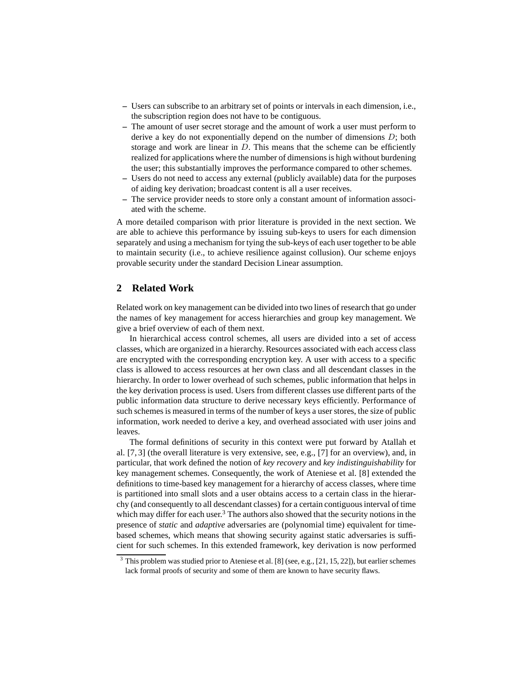- **–** Users can subscribe to an arbitrary set of points or intervals in each dimension, i.e., the subscription region does not have to be contiguous.
- **–** The amount of user secret storage and the amount of work a user must perform to derive a key do not exponentially depend on the number of dimensions D; both storage and work are linear in  $D$ . This means that the scheme can be efficiently realized for applications where the number of dimensions is high without burdening the user; this substantially improves the performance compared to other schemes.
- **–** Users do not need to access any external (publicly available) data for the purposes of aiding key derivation; broadcast content is all a user receives.
- **–** The service provider needs to store only a constant amount of information associated with the scheme.

A more detailed comparison with prior literature is provided in the next section. We are able to achieve this performance by issuing sub-keys to users for each dimension separately and using a mechanism for tying the sub-keys of each user together to be able to maintain security (i.e., to achieve resilience against collusion). Our scheme enjoys provable security under the standard Decision Linear assumption.

# **2 Related Work**

Related work on key management can be divided into two lines of research that go under the names of key management for access hierarchies and group key management. We give a brief overview of each of them next.

In hierarchical access control schemes, all users are divided into a set of access classes, which are organized in a hierarchy. Resources associated with each access class are encrypted with the corresponding encryption key. A user with access to a specific class is allowed to access resources at her own class and all descendant classes in the hierarchy. In order to lower overhead of such schemes, public information that helps in the key derivation process is used. Users from different classes use different parts of the public information data structure to derive necessary keys efficiently. Performance of such schemes is measured in terms of the number of keys a user stores, the size of public information, work needed to derive a key, and overhead associated with user joins and leaves.

The formal definitions of security in this context were put forward by Atallah et al. [7, 3] (the overall literature is very extensive, see, e.g., [7] for an overview), and, in particular, that work defined the notion of *key recovery* and *key indistinguishability* for key management schemes. Consequently, the work of Ateniese et al. [8] extended the definitions to time-based key management for a hierarchy of access classes, where time is partitioned into small slots and a user obtains access to a certain class in the hierarchy (and consequently to all descendant classes) for a certain contiguous interval of time which may differ for each user. $3$  The authors also showed that the security notions in the presence of *static* and *adaptive* adversaries are (polynomial time) equivalent for timebased schemes, which means that showing security against static adversaries is sufficient for such schemes. In this extended framework, key derivation is now performed

 $3$  This problem was studied prior to Ateniese et al. [8] (see, e.g., [21, 15, 22]), but earlier schemes lack formal proofs of security and some of them are known to have security flaws.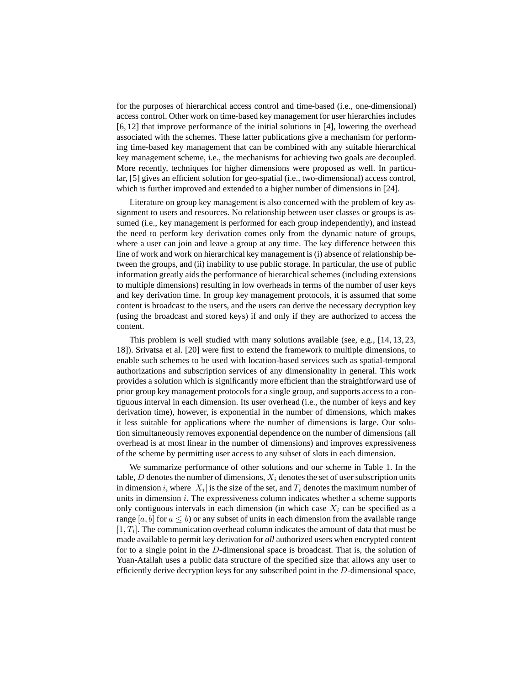for the purposes of hierarchical access control and time-based (i.e., one-dimensional) access control. Other work on time-based key management for user hierarchies includes [6, 12] that improve performance of the initial solutions in [4], lowering the overhead associated with the schemes. These latter publications give a mechanism for performing time-based key management that can be combined with any suitable hierarchical key management scheme, i.e., the mechanisms for achieving two goals are decoupled. More recently, techniques for higher dimensions were proposed as well. In particular, [5] gives an efficient solution for geo-spatial (i.e., two-dimensional) access control, which is further improved and extended to a higher number of dimensions in [24].

Literature on group key management is also concerned with the problem of key assignment to users and resources. No relationship between user classes or groups is assumed (i.e., key management is performed for each group independently), and instead the need to perform key derivation comes only from the dynamic nature of groups, where a user can join and leave a group at any time. The key difference between this line of work and work on hierarchical key management is (i) absence of relationship between the groups, and (ii) inability to use public storage. In particular, the use of public information greatly aids the performance of hierarchical schemes (including extensions to multiple dimensions) resulting in low overheads in terms of the number of user keys and key derivation time. In group key management protocols, it is assumed that some content is broadcast to the users, and the users can derive the necessary decryption key (using the broadcast and stored keys) if and only if they are authorized to access the content.

This problem is well studied with many solutions available (see, e.g., [14, 13, 23, 18]). Srivatsa et al. [20] were first to extend the framework to multiple dimensions, to enable such schemes to be used with location-based services such as spatial-temporal authorizations and subscription services of any dimensionality in general. This work provides a solution which is significantly more efficient than the straightforward use of prior group key management protocols for a single group, and supports access to a contiguous interval in each dimension. Its user overhead (i.e., the number of keys and key derivation time), however, is exponential in the number of dimensions, which makes it less suitable for applications where the number of dimensions is large. Our solution simultaneously removes exponential dependence on the number of dimensions (all overhead is at most linear in the number of dimensions) and improves expressiveness of the scheme by permitting user access to any subset of slots in each dimension.

We summarize performance of other solutions and our scheme in Table 1. In the table, D denotes the number of dimensions,  $X_i$  denotes the set of user subscription units in dimension i, where  $|X_i|$  is the size of the set, and  $T_i$  denotes the maximum number of units in dimension  $i$ . The expressiveness column indicates whether a scheme supports only contiguous intervals in each dimension (in which case  $X_i$  can be specified as a range [a, b] for  $a \le b$ ) or any subset of units in each dimension from the available range  $[1, T_i]$ . The communication overhead column indicates the amount of data that must be made available to permit key derivation for *all* authorized users when encrypted content for to a single point in the D-dimensional space is broadcast. That is, the solution of Yuan-Atallah uses a public data structure of the specified size that allows any user to efficiently derive decryption keys for any subscribed point in the  $D$ -dimensional space,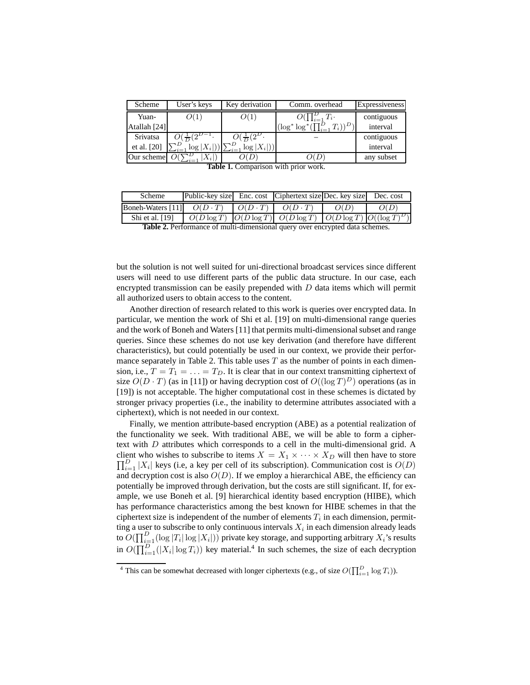| Scheme        | User's keys                     | Key derivation               | Comm. overhead                           | Expressiveness |
|---------------|---------------------------------|------------------------------|------------------------------------------|----------------|
| Yuan-         | O(1)                            | O(1)                         | $O(\prod_{i=1}^{\nu} T_i)$               | contiguous     |
| Atallah [24]  |                                 |                              | $(\log^* \log^* (\prod_{i=1}^D T_i))^D)$ | interval       |
| Srivatsa      |                                 | $\cdot$ $\frac{1}{D}(2^{2})$ |                                          | contiguous     |
| et al. $[20]$ | $\log  X_i $<br>$\lambda i = 1$ | $\log  X_i )$<br>$-i=1$      |                                          | interval       |
| Our scheme    | $ X_i $<br>$\lambda i=1$        |                              |                                          | any subset     |

**Table 1.** Comparison with prior work.

| <b>Scheme</b>                                                                 | Public-key size Enc. cost Ciphertext size Dec. key size Dec. cost                                              |  |  |      |      |  |  |  |
|-------------------------------------------------------------------------------|----------------------------------------------------------------------------------------------------------------|--|--|------|------|--|--|--|
| Boneh-Waters [11] $O(D \cdot T)$ $O(D \cdot T)$ $O(D \cdot T)$ $O(D \cdot T)$ |                                                                                                                |  |  | O(D) | O(D) |  |  |  |
| Shi et al. [19]                                                               | $\boxed{O(D \log T)$ $\boxed{O(D \log T)}$ $\boxed{O(D \log T)}$ $\boxed{O(D \log T)}$ $\boxed{O((\log T)^D)}$ |  |  |      |      |  |  |  |
| Table 2. Performance of multi-dimensional query over encrypted data schemes.  |                                                                                                                |  |  |      |      |  |  |  |

but the solution is not well suited for uni-directional broadcast services since different users will need to use different parts of the public data structure. In our case, each encrypted transmission can be easily prepended with  $D$  data items which will permit all authorized users to obtain access to the content.

Another direction of research related to this work is queries over encrypted data. In particular, we mention the work of Shi et al. [19] on multi-dimensional range queries and the work of Boneh and Waters [11] that permits multi-dimensional subset and range queries. Since these schemes do not use key derivation (and therefore have different characteristics), but could potentially be used in our context, we provide their performance separately in Table 2. This table uses  $T$  as the number of points in each dimension, i.e.,  $T = T_1 = \ldots = T_D$ . It is clear that in our context transmitting ciphertext of size  $O(D \cdot T)$  (as in [11]) or having decryption cost of  $O((\log T)^D)$  operations (as in [19]) is not acceptable. The higher computational cost in these schemes is dictated by stronger privacy properties (i.e., the inability to determine attributes associated with a ciphertext), which is not needed in our context.

Finally, we mention attribute-based encryption (ABE) as a potential realization of the functionality we seek. With traditional ABE, we will be able to form a ciphertext with  $D$  attributes which corresponds to a cell in the multi-dimensional grid. A  $\prod_{i=1}^{D} |X_i|$  keys (i.e, a key per cell of its subscription). Communication cost is  $O(D)$ client who wishes to subscribe to items  $X = X_1 \times \cdots \times X_D$  will then have to store and decryption cost is also  $O(D)$ . If we employ a hierarchical ABE, the efficiency can potentially be improved through derivation, but the costs are still significant. If, for example, we use Boneh et al. [9] hierarchical identity based encryption (HIBE), which has performance characteristics among the best known for HIBE schemes in that the ciphertext size is independent of the number of elements  $T_i$  in each dimension, permitting a user to subscribe to only continuous intervals  $X_i$  in each dimension already leads to  $O(\prod_{i=1}^D (\log |T_i| \log |X_i|))$  private key storage, and supporting arbitrary  $X_i$ 's results in  $O(\prod_{i=1}^{D}(|X_i| \log T_i))$  key material.<sup>4</sup> In such schemes, the size of each decryption

<sup>&</sup>lt;sup>4</sup> This can be somewhat decreased with longer ciphertexts (e.g., of size  $O(\prod_{i=1}^{D} \log T_i)$ ).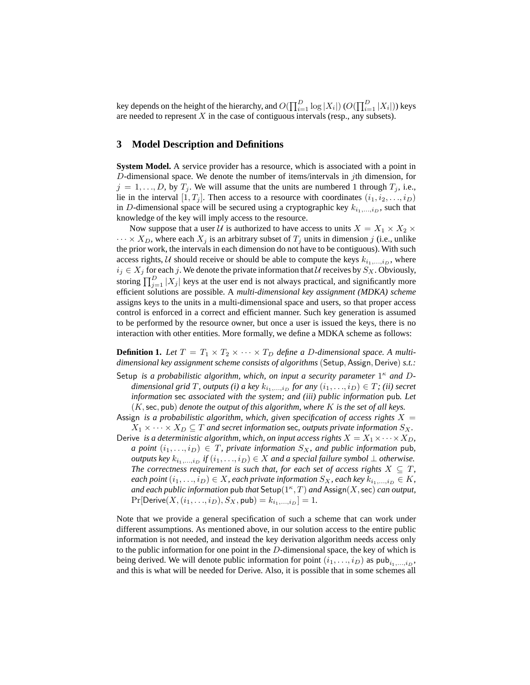key depends on the height of the hierarchy, and  $O(\prod_{i=1}^D \log |X_i|)$   $(O(\prod_{i=1}^D |X_i|))$  keys are needed to represent  $X$  in the case of contiguous intervals (resp., any subsets).

#### **3 Model Description and Definitions**

**System Model.** A service provider has a resource, which is associated with a point in D-dimensional space. We denote the number of items/intervals in  $j$ th dimension, for  $j = 1, \ldots, D$ , by  $T_j$ . We will assume that the units are numbered 1 through  $T_j$ , i.e., lie in the interval  $[1, T<sub>i</sub>]$ . Then access to a resource with coordinates  $(i_1, i_2, \ldots, i_D)$ in D-dimensional space will be secured using a cryptographic key  $k_{i_1,\dots,i_D}$ , such that knowledge of the key will imply access to the resource.

Now suppose that a user U is authorized to have access to units  $X = X_1 \times X_2 \times$  $\cdots \times X_D$ , where each  $X_j$  is an arbitrary subset of  $T_j$  units in dimension j (i.e., unlike the prior work, the intervals in each dimension do not have to be contiguous). With such access rights, U should receive or should be able to compute the keys  $k_{i_1,...,i_D}$ , where  $i_j \in X_j$  for each j. We denote the private information that U receives by  $S_X$ . Obviously, storing  $\prod_{j=1}^{D} |X_j|$  keys at the user end is not always practical, and significantly more efficient solutions are possible. A *multi-dimensional key assignment (MDKA) scheme* assigns keys to the units in a multi-dimensional space and users, so that proper access control is enforced in a correct and efficient manner. Such key generation is assumed to be performed by the resource owner, but once a user is issued the keys, there is no interaction with other entities. More formally, we define a MDKA scheme as follows:

**Definition 1.** Let  $T = T_1 \times T_2 \times \cdots \times T_D$  define a D-dimensional space. A multi*dimensional key assignment scheme consists of algorithms* (Setup, Assign, Derive) *s.t.:*

- Setup *is a probabilistic algorithm, which, on input a security parameter*  $1^{\kappa}$  and D*dimensional grid* T, *outputs* (*i*) a key  $k_{i_1,\dots,i_D}$  for any  $(i_1,\dots,i_D) \in T$ ; (*ii*) secret *information* sec *associated with the system; and (iii) public information* pub*. Let* (K,sec, pub) *denote the output of this algorithm, where* K *is the set of all keys.*
- Assign *is a probabilistic algorithm, which, given specification of access rights* X =  $X_1 \times \cdots \times X_D \subseteq T$  *and secret information* sec, *outputs private information*  $S_X$ .
- Derive *is a deterministic algorithm, which, on input access rights*  $X = X_1 \times \cdots \times X_D$ , *a point*  $(i_1, \ldots, i_D) \in T$ , private information  $S_X$ , and public information pub, *outputs key*  $k_{i_1,...,i_D}$  *if*  $(i_1,...,i_D) \in X$  *and a special failure symbol*  $\perp$  *otherwise. The correctness requirement is such that, for each set of access rights*  $X \subseteq T$ *, each point*  $(i_1, ..., i_D) \in X$ *, each private information*  $S_X$ *, each key*  $k_{i_1,...,i_D} \in K$ *,*  $\alpha$ *nd each public information* pub *that*  $\mathsf{Setup}(1^{\kappa},T)$  *and*  $\mathsf{Assign}(X,\mathsf{sec})$  *can output,*  $Pr[Derive(X, (i_1, ..., i_D), S_X, \text{pub}) = k_{i_1, ..., i_D}] = 1.$

Note that we provide a general specification of such a scheme that can work under different assumptions. As mentioned above, in our solution access to the entire public information is not needed, and instead the key derivation algorithm needs access only to the public information for one point in the  $D$ -dimensional space, the key of which is being derived. We will denote public information for point  $(i_1, ..., i_D)$  as  ${\sf pub}_{i_1,...,i_D}$ , and this is what will be needed for Derive. Also, it is possible that in some schemes all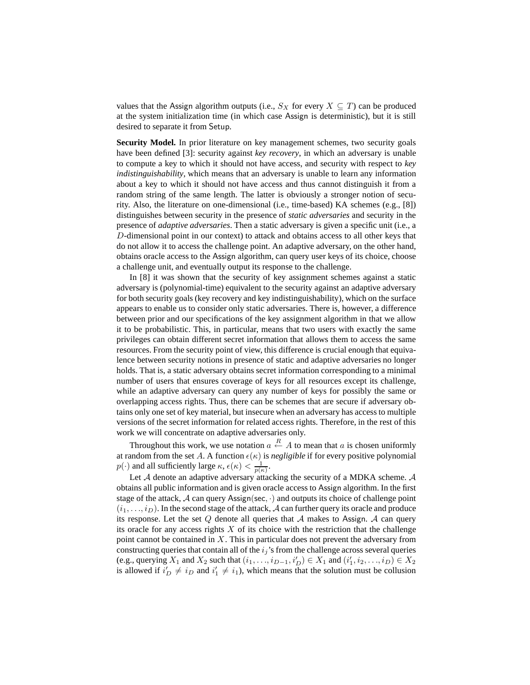values that the Assign algorithm outputs (i.e.,  $S_X$  for every  $X \subseteq T$ ) can be produced at the system initialization time (in which case Assign is deterministic), but it is still desired to separate it from Setup.

**Security Model.** In prior literature on key management schemes, two security goals have been defined [3]: security against *key recovery*, in which an adversary is unable to compute a key to which it should not have access, and security with respect to *key indistinguishability*, which means that an adversary is unable to learn any information about a key to which it should not have access and thus cannot distinguish it from a random string of the same length. The latter is obviously a stronger notion of security. Also, the literature on one-dimensional (i.e., time-based) KA schemes (e.g., [8]) distinguishes between security in the presence of *static adversaries* and security in the presence of *adaptive adversaries*. Then a static adversary is given a specific unit (i.e., a D-dimensional point in our context) to attack and obtains access to all other keys that do not allow it to access the challenge point. An adaptive adversary, on the other hand, obtains oracle access to the Assign algorithm, can query user keys of its choice, choose a challenge unit, and eventually output its response to the challenge.

In [8] it was shown that the security of key assignment schemes against a static adversary is (polynomial-time) equivalent to the security against an adaptive adversary for both security goals (key recovery and key indistinguishability), which on the surface appears to enable us to consider only static adversaries. There is, however, a difference between prior and our specifications of the key assignment algorithm in that we allow it to be probabilistic. This, in particular, means that two users with exactly the same privileges can obtain different secret information that allows them to access the same resources. From the security point of view, this difference is crucial enough that equivalence between security notions in presence of static and adaptive adversaries no longer holds. That is, a static adversary obtains secret information corresponding to a minimal number of users that ensures coverage of keys for all resources except its challenge, while an adaptive adversary can query any number of keys for possibly the same or overlapping access rights. Thus, there can be schemes that are secure if adversary obtains only one set of key material, but insecure when an adversary has access to multiple versions of the secret information for related access rights. Therefore, in the rest of this work we will concentrate on adaptive adversaries only.

Throughout this work, we use notation  $a \stackrel{R}{\leftarrow} A$  to mean that a is chosen uniformly at random from the set A. A function  $\epsilon(\kappa)$  is *negligible* if for every positive polynomial  $p(\cdot)$  and all sufficiently large  $\kappa$ ,  $\epsilon(\kappa) < \frac{1}{p(\kappa)}$ .

Let A denote an adaptive adversary attacking the security of a MDKA scheme. A obtains all public information and is given oracle access to Assign algorithm. In the first stage of the attack,  $A$  can query Assign(sec,  $\cdot$ ) and outputs its choice of challenge point  $(i_1, \ldots, i_D)$ . In the second stage of the attack, A can further query its oracle and produce its response. Let the set  $Q$  denote all queries that  $A$  makes to Assign.  $A$  can query its oracle for any access rights  $X$  of its choice with the restriction that the challenge point cannot be contained in  $X$ . This in particular does not prevent the adversary from constructing queries that contain all of the  $i_j$ 's from the challenge across several queries (e.g., querying  $X_1$  and  $X_2$  such that  $(i_1, ..., i_{D-1}, i'_D) \in X_1$  and  $(i'_1, i_2, ..., i_D) \in X_2$ is allowed if  $i'_D \neq i_D$  and  $i'_1 \neq i_1$ ), which means that the solution must be collusion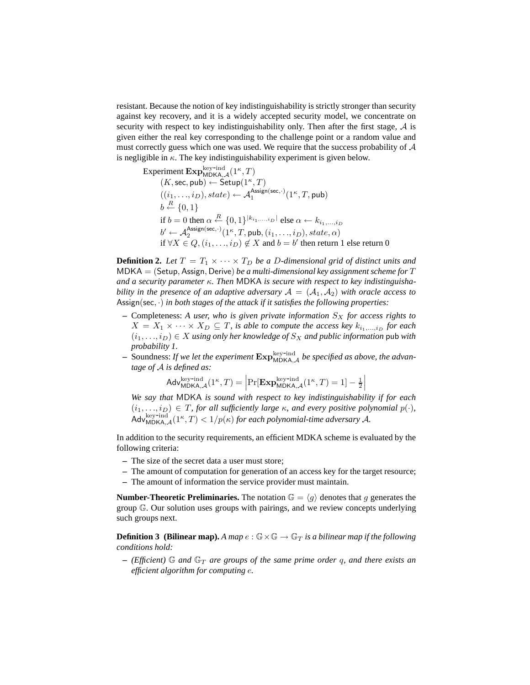resistant. Because the notion of key indistinguishability is strictly stronger than security against key recovery, and it is a widely accepted security model, we concentrate on security with respect to key indistinguishability only. Then after the first stage,  $A$  is given either the real key corresponding to the challenge point or a random value and must correctly guess which one was used. We require that the success probability of A is negligible in  $\kappa$ . The key indistinguishability experiment is given below.

$$
\begin{array}{l} \text { Experiment}\ \mathbf{Exp}_{\mathsf{MDKA},\mathcal{A}}^{\mathsf{key-ind}}(1^{\kappa},T)\\qquad \qquad (K,\mathsf{sec},\mathsf{pub}) \leftarrow \mathsf{Setup}(1^{\kappa},T)\\qquad \qquad ((i_1,\ldots,i_D),state) \leftarrow \mathcal{A}_1^{\mathsf{Assign}(\mathsf{sec},\cdot)}(1^{\kappa},T,\mathsf{pub})\\ b \leftarrow^{\mathcal{B}}\{0,1\} \\ \text { if } b=0 \text { then } \alpha \leftarrow^{\mathcal{B}}\{0,1\}^{|k_{i_1},\ldots,i_D|} \text { else } \alpha \leftarrow k_{i_1,\ldots,i_D}\\ b' \leftarrow \mathcal{A}_2^{\mathsf{Assign}(\mathsf{sec},\cdot)}(1^{\kappa},T,\mathsf{pub},(i_1,\ldots,i_D),state,\alpha)\\ \text { if } \forall X \in Q, (i_1,\ldots,i_D) \not\in X \text { and } b=b' \text { then return 1 else return } 0 \end{array}
$$

**Definition 2.** Let  $T = T_1 \times \cdots \times T_D$  be a D-dimensional grid of distinct units and MDKA = (Setup, Assign, Derive) *be a multi-dimensional key assignment scheme for* T *and a security parameter* κ*. Then* MDKA *is secure with respect to key indistinguishability in the presence of an adaptive adversary*  $A = (A_1, A_2)$  *with oracle access to* Assign(sec, ·) *in both stages of the attack if it satisfies the following properties:*

- **–** Completeness: *A user, who is given private information* S<sup>X</sup> *for access rights to*  $X = X_1 \times \cdots \times X_D \subseteq T$ , is able to compute the access key  $k_{i_1,\dots,i_D}$  for each  $(i_1, \ldots, i_D) \in X$  *using only her knowledge of*  $S_X$  *and public information* pub *with probability 1.*
- **–** Soundness: *If we let the experiment* Expkey*-*ind MDKA,<sup>A</sup> *be specified as above, the advantage of* A *is defined as:*

$$
\mathsf{Adv}_{\mathsf{MDKA},\mathcal{A}}^{\mathrm{key}\text{-}\mathrm{ind}}(1^{\kappa},T) = \left| \Pr[\mathbf{Exp}_{\mathsf{MDKA},\mathcal{A}}^{\mathrm{key}\text{-}\mathrm{ind}}(1^{\kappa},T) = 1] - \frac{1}{2} \right|
$$

*We say that* MDKA *is sound with respect to key indistinguishability if for each*  $(i_1, \ldots, i_D) \in T$ *, for all sufficiently large*  $\kappa$ *, and every positive polynomial*  $p(\cdot)$ *,*  $\text{Adv}_{\text{MDKA},\mathcal{A}}^{\text{key-ind}}(1^{\kappa}, T) < 1/p(\kappa)$  for each polynomial-time adversary A.

In addition to the security requirements, an efficient MDKA scheme is evaluated by the following criteria:

- **–** The size of the secret data a user must store;
- **–** The amount of computation for generation of an access key for the target resource;
- **–** The amount of information the service provider must maintain.

**Number-Theoretic Preliminaries.** The notation  $\mathbb{G} = \langle g \rangle$  denotes that g generates the group G. Our solution uses groups with pairings, and we review concepts underlying such groups next.

**Definition 3 (Bilinear map).** A map  $e : \mathbb{G} \times \mathbb{G} \to \mathbb{G}_T$  is a bilinear map if the following *conditions hold:*

 $-$  *(Efficient)* G and G<sub>T</sub> are groups of the same prime order q, and there exists an *efficient algorithm for computing* e*.*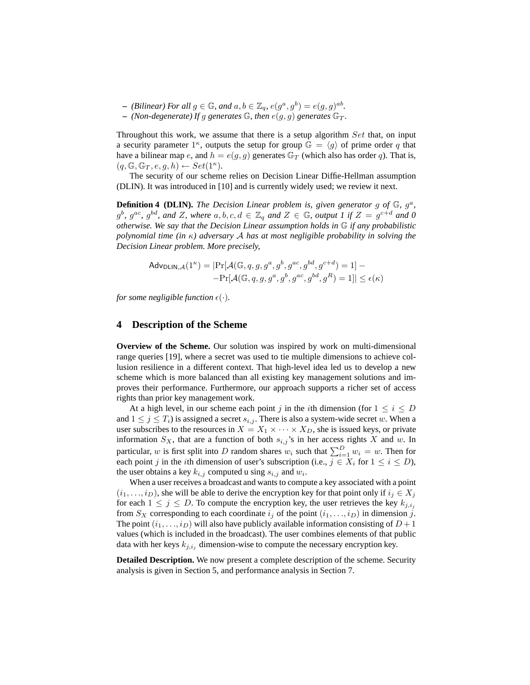- **−** *(Bilinear)* For all  $g \in \mathbb{G}$ , and  $a, b \in \mathbb{Z}_q$ ,  $e(g^a, g^b) = e(g, g)^{ab}$ .
- $-$  *(Non-degenerate)* If g generates  $\mathbb{G}$ *, then*  $e(g, g)$  generates  $\mathbb{G}_T$ *.*

Throughout this work, we assume that there is a setup algorithm Set that, on input a security parameter  $1^{\kappa}$ , outputs the setup for group  $\mathbb{G} = \langle g \rangle$  of prime order q that have a bilinear map e, and  $h = e(g, g)$  generates  $\mathbb{G}_T$  (which also has order q). That is,  $(q, \mathbb{G}, \mathbb{G}_T, e, g, h) \leftarrow Set(1^{\kappa}).$ 

The security of our scheme relies on Decision Linear Diffie-Hellman assumption (DLIN). It was introduced in [10] and is currently widely used; we review it next.

**Definition 4 (DLIN).** The Decision Linear problem is, given generator  $g$  of  $\mathbb{G}$ ,  $g^a$ ,  $g^b$ ,  $g^{ac}$ ,  $g^{bd}$ , and Z, where  $a, b, c, d \in \mathbb{Z}_q$  and  $Z \in \mathbb{G}$ , output 1 if  $Z = g^{c+d}$  and 0 *otherwise. We say that the Decision Linear assumption holds in* G *if any probabilistic polynomial time (in* κ*) adversary* A *has at most negligible probability in solving the Decision Linear problem. More precisely,*

$$
\mathsf{Adv}_{\mathsf{DLIN},\mathcal{A}}(1^{\kappa}) = |\Pr[\mathcal{A}(\mathbb{G},q,g,g^a,g^b,g^{ac},g^{bd},g^{c+d})=1] - \newline -\Pr[\mathcal{A}(\mathbb{G},q,g,g^a,g^b,g^{ac},g^{bd},g^R)=1]| \leq \epsilon(\kappa)
$$

*for some negligible function*  $\epsilon(\cdot)$ *.* 

#### **4 Description of the Scheme**

**Overview of the Scheme.** Our solution was inspired by work on multi-dimensional range queries [19], where a secret was used to tie multiple dimensions to achieve collusion resilience in a different context. That high-level idea led us to develop a new scheme which is more balanced than all existing key management solutions and improves their performance. Furthermore, our approach supports a richer set of access rights than prior key management work.

At a high level, in our scheme each point j in the *i*th dimension (for  $1 \le i \le D$ and  $1 \leq j \leq T_i$ ) is assigned a secret  $s_{i,j}$ . There is also a system-wide secret w. When a user subscribes to the resources in  $X = X_1 \times \cdots \times X_D$ , she is issued keys, or private information  $S_X$ , that are a function of both  $s_{i,j}$ 's in her access rights X and w. In particular, w is first split into D random shares  $w_i$  such that  $\sum_{i=1}^{D} w_i = w$ . Then for each point j in the ith dimension of user's subscription (i.e.,  $j \in X_i$  for  $1 \le i \le D$ ), the user obtains a key  $k_{i,j}$  computed u sing  $s_{i,j}$  and  $w_i$ .

When a user receives a broadcast and wants to compute a key associated with a point  $(i_1, \ldots, i_D)$ , she will be able to derive the encryption key for that point only if  $i_j \in X_j$ for each  $1 \leq j \leq D$ . To compute the encryption key, the user retrieves the key  $k_{j,i,j}$ from  $S_X$  corresponding to each coordinate  $i_j$  of the point  $(i_1, \ldots, i_D)$  in dimension j. The point  $(i_1, \ldots, i_D)$  will also have publicly available information consisting of  $D+1$ values (which is included in the broadcast). The user combines elements of that public data with her keys  $k_{j,i_j}$  dimension-wise to compute the necessary encryption key.

**Detailed Description.** We now present a complete description of the scheme. Security analysis is given in Section 5, and performance analysis in Section 7.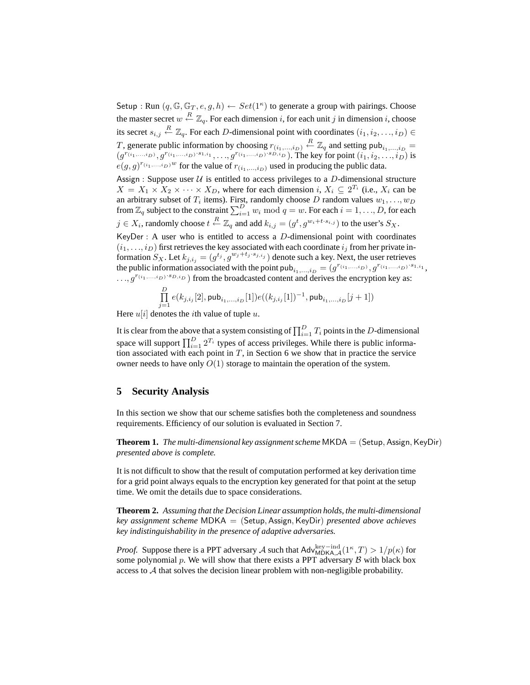Setup: Run  $(q, \mathbb{G}, \mathbb{G}_T, e, g, h) \leftarrow Set(1^{\kappa})$  to generate a group with pairings. Choose the master secret  $w \stackrel{R}{\leftarrow} \mathbb{Z}_q$ . For each dimension i, for each unit j in dimension i, choose its secret  $s_{i,j} \stackrel{R}{\leftarrow} \mathbb{Z}_q$ . For each D-dimensional point with coordinates  $(i_1, i_2, \ldots, i_D)$ T, generate public information by choosing  $r_{(i_1,...,i_D)} \stackrel{R}{\leftarrow} \mathbb{Z}_q$  and setting pub $i_1,...,i_D =$  $(g^{r_{(i_1,...,i_D)}}, g^{r_{(i_1,...,i_D)}\cdot s_{1,i_1}}, ..., g^{r_{(i_1,...,i_D)}\cdot s_{D,i_D}})$ . The key for point  $(i_1,i_2,...,i_D)$  is  $e(g, g)^{r_{(i_1,...,i_D)}w}$  for the value of  $r_{(i_1,...,i_D)}$  used in producing the public data.

Assign : Suppose user  $U$  is entitled to access privileges to a D-dimensional structure  $X = X_1 \times X_2 \times \cdots \times X_D$ , where for each dimension i,  $X_i \subseteq 2^{T_i}$  (i.e.,  $X_i$  can be an arbitrary subset of  $T_i$  items). First, randomly choose D random values  $w_1, \ldots, w_D$ from  $\mathbb{Z}_q$  subject to the constraint  $\sum_{i=1}^D w_i \bmod q = w$ . For each  $i = 1, ..., D$ , for each  $j \in X_i$ , randomly choose  $t \stackrel{R}{\leftarrow} \mathbb{Z}_q$  and add  $k_{i,j} = (g^t, g^{w_i + t \cdot s_{i,j}})$  to the user's  $S_X$ .

KeyDer : A user who is entitled to access a  $D$ -dimensional point with coordinates  $(i_1, \ldots, i_D)$  first retrieves the key associated with each coordinate  $i_j$  from her private information  $S_X$ . Let  $k_{j,i_j} = (g^{t_j}, g^{w_j+t_j \cdot s_{j,i_j}})$  denote such a key. Next, the user retrieves the public information associated with the point  ${\sf pub}_{i_1,...,i_D} = (g^{r_{(i_1,...,i_D)}}, g^{r_{(i_1,...,i_D)}\cdot s_{1,i_1}},$  $\ldots$ ,  $g^{r_{(i_1,\ldots,i_D)}\cdot s_{D,i_D}}$  from the broadcasted content and derives the encryption key as:

$$
\prod_{j=1}^D e(k_{j,i_j}[2],\mathsf{pub}_{i_1,...,i_D}[1])e((k_{j,i_j}[1])^{-1},\mathsf{pub}_{i_1,...,i_D}[j+1])
$$

Here  $u[i]$  denotes the *i*th value of tuple  $u$ .

It is clear from the above that a system consisting of  $\prod_{i=1}^{D} T_i$  points in the D-dimensional space will support  $\prod_{i=1}^{D} 2^{T_i}$  types of access privileges. While there is public information associated with each point in  $T$ , in Section 6 we show that in practice the service owner needs to have only  $O(1)$  storage to maintain the operation of the system.

## **5 Security Analysis**

In this section we show that our scheme satisfies both the completeness and soundness requirements. Efficiency of our solution is evaluated in Section 7.

**Theorem 1.** *The multi-dimensional key assignment scheme* MKDA = (Setup, Assign, KeyDir) *presented above is complete.*

It is not difficult to show that the result of computation performed at key derivation time for a grid point always equals to the encryption key generated for that point at the setup time. We omit the details due to space considerations.

**Theorem 2.** *Assuming that the Decision Linear assumption holds, the multi-dimensional key assignment scheme* MDKA = (Setup, Assign,KeyDir) *presented above achieves key indistinguishability in the presence of adaptive adversaries.*

*Proof.* Suppose there is a PPT adversary A such that  $\text{Adv}_{\text{MDKA},\mathcal{A}}^{\text{key-ind}}(1^{\kappa},T) > 1/p(\kappa)$  for some polynomial  $p$ . We will show that there exists a PPT adversary  $\beta$  with black box access to  $A$  that solves the decision linear problem with non-negligible probability.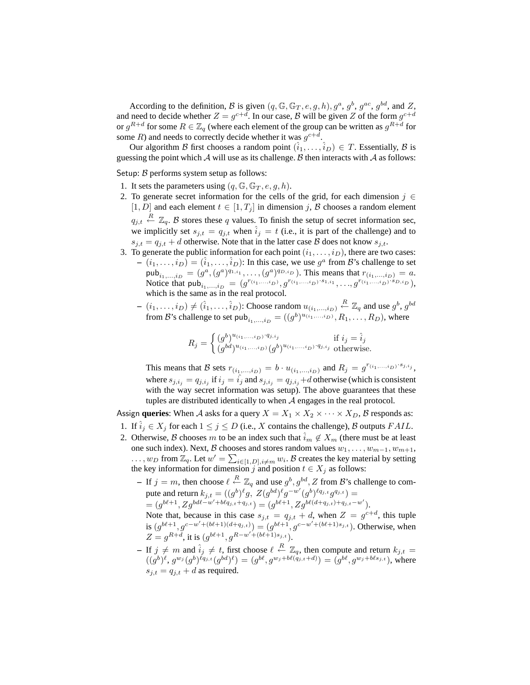According to the definition, B is given  $(q, \mathbb{G}, \mathbb{G}_T, e, g, h), g^a, g^b, g^{ac}, g^{bd}$ , and Z, and need to decide whether  $Z = g^{c+d}$ . In our case,  $\mathcal B$  will be given  $Z$  of the form  $g^{c+d}$ or  $g^{R+d}$  for some  $R \in \mathbb{Z}_q$  (where each element of the group can be written as  $g^{R+d}$  for some R) and needs to correctly decide whether it was  $g^{c+d}$ .

Our algorithm B first chooses a random point  $(i_1, \ldots, i_D) \in T$ . Essentially, B is guessing the point which  $A$  will use as its challenge.  $B$  then interacts with  $A$  as follows:

Setup:  $\beta$  performs system setup as follows:

- 1. It sets the parameters using  $(q, \mathbb{G}, \mathbb{G}_T, e, q, h)$ .
- 2. To generate secret information for the cells of the grid, for each dimension  $j \in \mathbb{Z}$ [1, D] and each element  $t \in [1, T<sub>i</sub>]$  in dimension j, B chooses a random element  $q_{j,t} \stackrel{R}{\leftarrow} \mathbb{Z}_q$ . B stores these q values. To finish the setup of secret information sec, we implicitly set  $s_{j,t} = q_{j,t}$  when  $\hat{i}_j = t$  (i.e., it is part of the challenge) and to  $s_{j,t} = q_{j,t} + d$  otherwise. Note that in the latter case  $\beta$  does not know  $s_{j,t}$ .
- 3. To generate the public information for each point  $(i_1, \ldots, i_D)$ , there are two cases:  $\overline{\mathcal{L}}(i_1,\ldots,i_D)=(\hat{i}_1,\ldots,\hat{i}_D)$ : In this case, we use  $g^a$  from B's challenge to set pub<sub>i<sub>1</sub>,...,i<sub>D</sub> =  $(g^a, (g^a)^{q_1,i_1}, \ldots, (g^a)^{q_{D,i_D}})$ . This means that  $r_{(i_1,...,i_D)} = a$ .</sub> Notice that  $\text{pub}_{i_1,...,i_D} = (g^{r_{(i_1,...,i_D)}}, g^{r_{(i_1,...,i_D)}\cdot s_{1,i_1}}, ..., g^{r_{(i_1,...,i_D)}\cdot s_{D,i_D}})$ , which is the same as in the real protocol.
	- $\bm{p} = (i_1, \ldots, i_D) \neq (\hat{i}_1, \ldots, \hat{i}_D)$ : Choose random  $u_{(i_1, \ldots, i_D)} \stackrel{R}{\leftarrow} \mathbb{Z}_q$  and use  $g^b, g^{bd}$ from  $\mathcal{B}$ 's challenge to set pub $_{i_1,...,i_D} = ((g^b)^{u_{(i_1,...,i_D)}}, R_1,...,R_D)$ , where

$$
R_j = \begin{cases} (g^{b})^{u_{(i_1,...,i_D)} \cdot q_{j,i_j}} & \text{if } i_j = \hat{i}_j \\ (g^{bd})^{u_{(i_1,...,i_D)}} (g^{b})^{u_{(i_1,...,i_D)} \cdot q_{j,i_j}} & \text{otherwise.} \end{cases}
$$

This means that B sets  $r_{(i_1,...,i_D)} = b \cdot u_{(i_1,...,i_D)}$  and  $R_j = g^{r_{(i_1,...,i_D)} \cdot s_{j,i_j}}$ , where  $s_{j,i_j} = q_{j,i_j}$  if  $i_j = \hat{i}_j$  and  $s_{j,i_j} = q_{j,i_j} + d$  otherwise (which is consistent with the way secret information was setup). The above guarantees that these tuples are distributed identically to when  $A$  engages in the real protocol.

Assign **queries**: When A asks for a query  $X = X_1 \times X_2 \times \cdots \times X_D$ , B responds as:

- 1. If  $i_j \in X_j$  for each  $1 \le j \le D$  (i.e., X contains the challenge), B outputs FAIL.
- 2. Otherwise, B chooses m to be an index such that  $\hat{i}_m \notin X_m$  (there must be at least one such index). Next, B chooses and stores random values  $w_1, \ldots, w_{m-1}, w_{m+1}$ , ...,  $w_D$  from  $\mathbb{Z}_q$ . Let  $w' = \sum_{i \in [1,D], i \neq m} w_i$ .  $\beta$  creates the key material by setting the key information for dimension j and position  $t \in X_j$  as follows:
	- $-$  If  $j = m$ , then choose  $\ell \stackrel{R}{\leftarrow} \mathbb{Z}_q$  and use  $g^b, g^{bd}, Z$  from  $\mathcal{B}$ 's challenge to compute and return  $k_{j,t} = ((g^b)^{\ell} g, Z(g^{bd})^{\ell} g^{-w'} (g^b)^{\ell q_{j,t}} g^{q_{j,t}}) =$  $= (g^{b\ell+1}, Zg^{b d\ell-w'+b\ell q_{j,t}+q_{j,t}}) = (g^{b\ell+1}, Zg^{b\ell(d+q_{j,t})+q_{j,t}-w'}).$ Note that, because in this case  $s_{j,t} = q_{j,t} + d$ , when  $Z = g^{c+d}$ , this tuple is  $(g^{b\ell+1}, g^{c-w'+(b\ell+1)(d+q_{j,t})}) = (g^{b\ell+1}, g^{c-w'+(b\ell+1)s_{j,t}})$ . Otherwise, when  $Z = g^{R+d}$ , it is  $(g^{b\ell+1}, g^{R-w'+(b\ell+1)s_{j,t}})$ .
	- $-$  If  $j \neq m$  and  $\hat{i}_j \neq t$ , first choose  $\ell \stackrel{R}{\leftarrow} \mathbb{Z}_q$ , then compute and return  $k_{j,t} =$  $((g^b)^{\ell}, g^{w_j}(g^b)^{\ell q_{j,t}}(g^{bd})^{\ell}) = (g^{b\ell}, g^{w_j+b\ell q_{j,t}+d)}) = (g^{b\ell}, g^{w_j+b\ell s_{j,t}})$ , where  $s_{i,t} = q_{i,t} + d$  as required.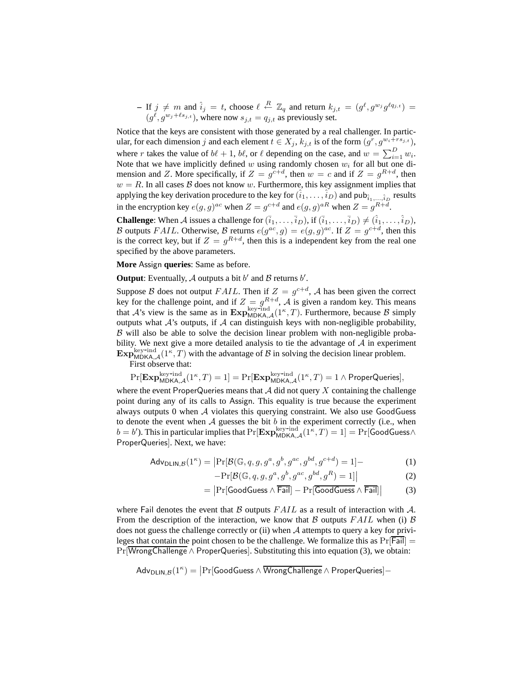$-$  If  $j \neq m$  and  $\hat{i}_j = t$ , choose  $\ell \stackrel{R}{\leftarrow} \mathbb{Z}_q$  and return  $k_{j,t} = (g^{\ell}, g^{w_j} g^{\ell q_{j,t}}) =$  $(g^{\ell}, g^{w_j+\ell s_{j,t}})$ , where now  $s_{j,t} = q_{j,t}$  as previously set.

Notice that the keys are consistent with those generated by a real challenger. In particular, for each dimension j and each element  $t \in X_j$ ,  $k_{j,t}$  is of the form  $(g^r, g^{w_i + rs_{j,t}})$ , where r takes the value of  $b\ell + 1$ ,  $b\ell$ , or  $\ell$  depending on the case, and  $w = \sum_{i=1}^{D} w_i$ . Note that we have implicitly defined w using randomly chosen  $w_i$  for all but one dimension and Z. More specifically, if  $Z = g^{c+d}$ , then  $w = c$  and if  $Z = g^{R+d}$ , then  $w = R$ . In all cases  $\beta$  does not know w. Furthermore, this key assignment implies that applying the key derivation procedure to the key for  $(\hat{i}_1, \dots, \hat{i}_D)$  and  ${\sf pub}_{\hat{i}_1, \dots, \hat{i}_D}$  results in the encryption key  $e(g, g)^{ac}$  when  $Z = g^{c+d}$  and  $e(g, g)^{aR}$  when  $Z = g^{R+d}$ .

**Challenge**: When A issues a challenge for  $(\bar{i}_1, \ldots, \bar{i}_D)$ , if  $(\bar{i}_1, \ldots, \bar{i}_D) \neq (\hat{i}_1, \ldots, \hat{i}_D)$ , B outputs FAIL. Otherwise, B returns  $e(g^{ac}, g) = e(g, g)^{ac}$ . If  $Z = g^{c+d}$ , then this is the correct key, but if  $Z = g^{R+d}$ , then this is a independent key from the real one specified by the above parameters.

**More** Assign **queries**: Same as before.

**Output**: Eventually,  $A$  outputs a bit  $b'$  and  $B$  returns  $b'$ .

Suppose B does not output FAIL. Then if  $Z = g^{c+d}$ , A has been given the correct key for the challenge point, and if  $Z = g^{R+d}$ ,  $\mathcal{A}$  is given a random key. This means that  $\mathcal{A}$ 's view is the same as in  $\mathbf{Exp}_{\text{MDKA},\mathcal{A}}^{\text{key-ind}}(1^{\kappa},T)$ . Furthermore, because  $\mathcal{B}$  simply outputs what  $A$ 's outputs, if  $A$  can distinguish keys with non-negligible probability,  $\beta$  will also be able to solve the decision linear problem with non-negligible probability. We next give a more detailed analysis to tie the advantage of  $A$  in experiment Exp<sub>MDKA,A</sub>(1<sup> $\kappa$ </sup>,T) with the advantage of B in solving the decision linear problem.

First observe that:

$$
\Pr[\mathbf{Exp}_{\mathsf{MDKA},\mathcal{A}}^{\mathsf{key-ind}}(1^\kappa,T)=1] = \Pr[\mathbf{Exp}_{\mathsf{MDKA},\mathcal{A}}^{\mathsf{key-ind}}(1^\kappa,T)=1 \wedge \mathsf{ProperQueries}],
$$

where the event ProperQueries means that  $A$  did not query X containing the challenge point during any of its calls to Assign. This equality is true because the experiment always outputs  $0$  when  $A$  violates this querying constraint. We also use GoodGuess to denote the event when  $A$  guesses the bit  $b$  in the experiment correctly (i.e., when  $b = b'$ ). This in particular implies that  $Pr[\mathbf{Exp}_{MDKA,A}^{key-ind}(1^k, T) = 1] = Pr[GoodGues \wedge$ ProperQueries]. Next, we have:

$$
\mathsf{Adv}_{\mathsf{DLIN},\mathcal{B}}(1^{\kappa}) = \left| \Pr[\mathcal{B}(\mathbb{G},q,g,g^a,g^b,g^{ac},g^{bd},g^{c+d}) = 1] - \right. \tag{1}
$$

$$
-\Pr[\mathcal{B}(\mathbb{G}, q, g, g^a, g^b, g^{ac}, g^{bd}, g^R) = 1] \tag{2}
$$

$$
= \left| \Pr[\text{GoodGuess} \land \overline{\mathsf{fail}}] - \Pr[\overline{\text{GoodGuess}} \land \overline{\mathsf{fail}}] \right| \tag{3}
$$

where Fail denotes the event that  $B$  outputs  $FAIL$  as a result of interaction with  $A$ . From the description of the interaction, we know that B outputs  $FAIL$  when (i) B does not guess the challenge correctly or (ii) when A attempts to query a key for privileges that contain the point chosen to be the challenge. We formalize this as  $Pr[\overline{fail}]$  = Pr[WrongChallenge ∧ ProperQueries]. Substituting this into equation (3), we obtain:

$$
\mathsf{Adv}_\mathsf{DLIN,\mathcal{B}}(1^\kappa)=\big|\mathsf{Pr}[\mathsf{GoodGness}\wedge\overline{\mathsf{WrongChallenge}}\wedge\mathsf{ProperQueries}]-
$$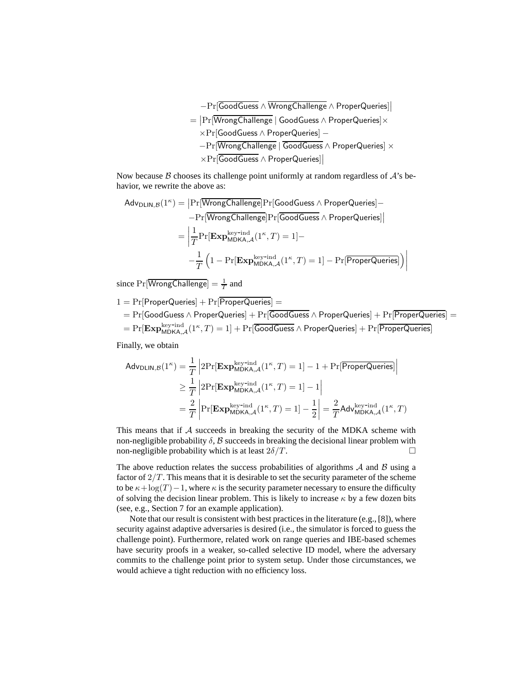$$
-\Pr[\overline{GoodGuess} \land \overline{WrongChallenge} \land \text{ProperQueries}]|= |\Pr[\overline{WrongChallenge} | \text{GoodGuess} \land \text{ProperQueries}] \times\times \Pr[\text{GoodGuess} \land \text{ProperQueries}] -- \Pr[\overline{WrongChallenge} | \text{GoodGuess} \land \text{ProperQueries}] \times\times \Pr[\overline{GoodGuess} \land \text{ProperQueries}]|
$$

Now because  $\beta$  chooses its challenge point uniformly at random regardless of  $\mathcal{A}$ 's behavior, we rewrite the above as:

$$
Adv_{DLIN,B}(1^{\kappa}) = \left| \Pr[\overline{WrongChallenge}] \Pr[\text{GoodGuess} \land \text{ProperQueries}] - \Pr[\overline{WrongChallenge}] \Pr[\overline{\text{GoodGuess}} \land \text{ProperQueries}] \right|
$$

$$
= \left| \frac{1}{T} \Pr[\mathbf{Exp}_{MDKA,\mathcal{A}}^{\text{key-ind}}(1^{\kappa}, T) = 1] - \right.
$$

$$
- \frac{1}{T} \left( 1 - \Pr[\mathbf{Exp}_{MDKA,\mathcal{A}}^{\text{key-ind}}(1^{\kappa}, T) = 1] - \Pr[\overline{\text{ProperQueries}}] \right)
$$

since  $\Pr[\overline{\mathsf{WrongChallenge}}] = \frac{1}{T}$  and

 $1 = Pr[ProperQueries] + Pr[ProperQueries] =$ 

= Pr[GoodGuess ∧ ProperQueries] + Pr[GoodGuess ∧ ProperQueries] + Pr[ProperQueries] =  $= \Pr[\mathbf{Exp}_{\mathsf{MDKA},\mathcal{A}}^{\mathsf{key-ind}}(1^\kappa,T)=1] + \Pr[\overline{\mathsf{GoodGuess}} \wedge \mathsf{ProperQueries}] + \Pr[\overline{\mathsf{ProperQueries}}]$ 

Finally, we obtain

$$
\begin{aligned} \mathsf{Adv}_{\mathsf{DLIN},\mathcal{B}}(1^{\kappa}) &= \frac{1}{T} \left| 2\mathrm{Pr}[\mathbf{Exp}_{\mathsf{MDKA},\mathcal{A}}^{\mathsf{key-ind}}(1^{\kappa},T) = 1] - 1 + \mathrm{Pr}[\overline{\mathsf{Properqueries}}] \right| \\ &\geq \frac{1}{T} \left| 2\mathrm{Pr}[\mathbf{Exp}_{\mathsf{MDKA},\mathcal{A}}^{\mathsf{key-ind}}(1^{\kappa},T) = 1] - 1 \right| \\ &= \frac{2}{T} \left| \mathrm{Pr}[\mathbf{Exp}_{\mathsf{MDKA},\mathcal{A}}^{\mathsf{key-ind}}(1^{\kappa},T) = 1] - \frac{1}{2} \right| = \frac{2}{T} \mathsf{Adv}_{\mathsf{MDKA},\mathcal{A}}^{\mathsf{key-ind}}(1^{\kappa},T) \end{aligned}
$$

This means that if A succeeds in breaking the security of the MDKA scheme with non-negligible probability  $\delta$ ,  $\beta$  succeeds in breaking the decisional linear problem with non-negligible probability which is at least  $2\delta/T$ .

The above reduction relates the success probabilities of algorithms  $A$  and  $B$  using a factor of  $2/T$ . This means that it is desirable to set the security parameter of the scheme to be  $\kappa + \log(T) - 1$ , where  $\kappa$  is the security parameter necessary to ensure the difficulty of solving the decision linear problem. This is likely to increase  $\kappa$  by a few dozen bits (see, e.g., Section 7 for an example application).

Note that our result is consistent with best practices in the literature (e.g., [8]), where security against adaptive adversaries is desired (i.e., the simulator is forced to guess the challenge point). Furthermore, related work on range queries and IBE-based schemes have security proofs in a weaker, so-called selective ID model, where the adversary commits to the challenge point prior to system setup. Under those circumstances, we would achieve a tight reduction with no efficiency loss.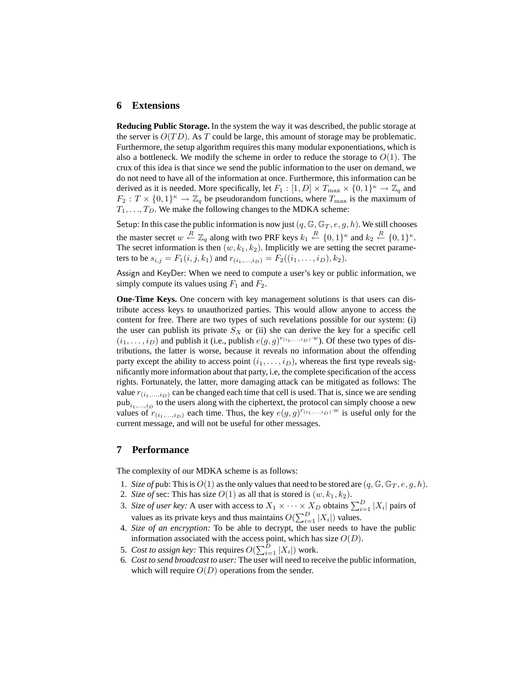### **6 Extensions**

**Reducing Public Storage.** In the system the way it was described, the public storage at the server is  $O(TD)$ . As T could be large, this amount of storage may be problematic. Furthermore, the setup algorithm requires this many modular exponentiations, which is also a bottleneck. We modify the scheme in order to reduce the storage to  $O(1)$ . The crux of this idea is that since we send the public information to the user on demand, we do not need to have all of the information at once. Furthermore, this information can be derived as it is needed. More specifically, let  $F_1 : [1, D] \times T_{\text{max}} \times \{0, 1\}^{\kappa} \to \mathbb{Z}_q$  and  $F_2: T \times \{0,1\}^{\kappa} \to \mathbb{Z}_q$  be pseudorandom functions, where  $T_{\text{max}}$  is the maximum of  $T_1, \ldots, T_D$ . We make the following changes to the MDKA scheme:

Setup: In this case the public information is now just  $(q, \mathbb{G}, \mathbb{G}_T, e, g, h)$ . We still chooses the master secret  $w \stackrel{R}{\leftarrow} \mathbb{Z}_q$  along with two PRF keys  $k_1 \stackrel{R}{\leftarrow} \{0,1\}^{\kappa}$  and  $k_2 \stackrel{R}{\leftarrow} \{0,1\}^{\kappa}$ . The secret information is then  $(w, k_1, k_2)$ . Implicitly we are setting the secret parameters to be  $s_{i,j} = F_1(i, j, k_1)$  and  $r_{(i_1,...,i_D)} = F_2((i_1,...,i_D), k_2)$ .

Assign and KeyDer: When we need to compute a user's key or public information, we simply compute its values using  $F_1$  and  $F_2$ .

**One-Time Keys.** One concern with key management solutions is that users can distribute access keys to unauthorized parties. This would allow anyone to access the content for free. There are two types of such revelations possible for our system: (i) the user can publish its private  $S_X$  or (ii) she can derive the key for a specific cell  $(i_1, \ldots, i_D)$  and publish it (i.e., publish  $e(g, g)^{r_{(i_1, \ldots, i_D)} \cdot w}$ ). Of these two types of distributions, the latter is worse, because it reveals no information about the offending party except the ability to access point  $(i_1, \ldots, i_D)$ , whereas the first type reveals significantly more information about that party, i.e, the complete specification of the access rights. Fortunately, the latter, more damaging attack can be mitigated as follows: The value  $r_{(i_1,...,i_D)}$  can be changed each time that cell is used. That is, since we are sending  $\mathsf{pub}_{i_1,\dots,i_D}$  to the users along with the ciphertext, the protocol can simply choose a new values of  $r_{(i_1,...,i_D)}$  each time. Thus, the key  $e(g,g)^{r_{(i_1,...,i_D)}\cdot w}$  is useful only for the current message, and will not be useful for other messages.

#### **7 Performance**

The complexity of our MDKA scheme is as follows:

- 1. *Size of* pub: This is  $O(1)$  as the only values that need to be stored are  $(q, \mathbb{G}, \mathbb{G}_T, e, g, h)$ .
- 2. *Size of* sec: This has size  $O(1)$  as all that is stored is  $(w, k_1, k_2)$ .
- 3. Size of user key: A user with access to  $X_1 \times \cdots \times X_D$  obtains  $\sum_{i=1}^D |X_i|$  pairs of values as its private keys and thus maintains  $O(\sum_{i=1}^{D} |X_i|)$  values.
- 4. *Size of an encryption:* To be able to decrypt, the user needs to have the public information associated with the access point, which has size  $O(D)$ .
- 5. *Cost to assign key:* This requires  $O(\sum_{i=1}^{D} |X_i|)$  work.
- 6. *Cost to send broadcast to user:* The user will need to receive the public information, which will require  $O(D)$  operations from the sender.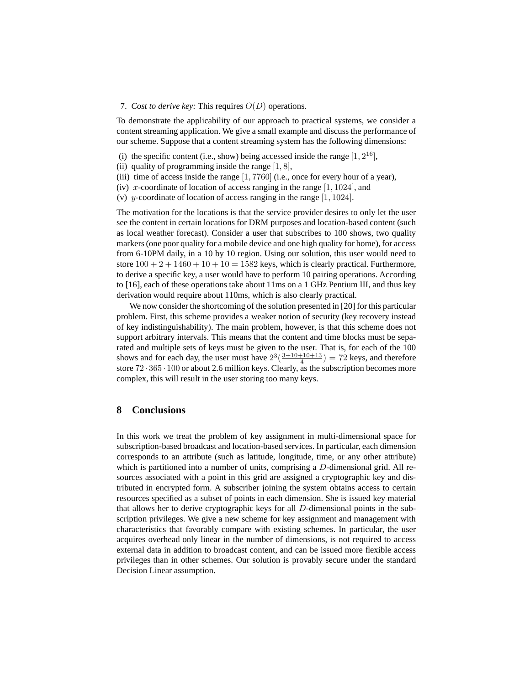#### 7. *Cost to derive key:* This requires O(D) operations.

To demonstrate the applicability of our approach to practical systems, we consider a content streaming application. We give a small example and discuss the performance of our scheme. Suppose that a content streaming system has the following dimensions:

- (i) the specific content (i.e., show) being accessed inside the range  $[1, 2^{16}]$ ,
- (ii) quality of programming inside the range  $[1, 8]$ ,
- (iii) time of access inside the range  $[1, 7760]$  (i.e., once for every hour of a year),
- (iv) x-coordinate of location of access ranging in the range  $[1, 1024]$ , and
- (v) y-coordinate of location of access ranging in the range  $[1, 1024]$ .

The motivation for the locations is that the service provider desires to only let the user see the content in certain locations for DRM purposes and location-based content (such as local weather forecast). Consider a user that subscribes to 100 shows, two quality markers (one poor quality for a mobile device and one high quality for home), for access from 6-10PM daily, in a 10 by 10 region. Using our solution, this user would need to store  $100 + 2 + 1460 + 10 + 10 = 1582$  keys, which is clearly practical. Furthermore, to derive a specific key, a user would have to perform 10 pairing operations. According to [16], each of these operations take about 11ms on a 1 GHz Pentium III, and thus key derivation would require about 110ms, which is also clearly practical.

We now consider the shortcoming of the solution presented in [20] for this particular problem. First, this scheme provides a weaker notion of security (key recovery instead of key indistinguishability). The main problem, however, is that this scheme does not support arbitrary intervals. This means that the content and time blocks must be separated and multiple sets of keys must be given to the user. That is, for each of the 100 shows and for each day, the user must have  $2^3(\frac{3+10+10+13}{4}) = 72$  keys, and therefore store 72 · 365 · 100 or about 2.6 million keys. Clearly, as the subscription becomes more complex, this will result in the user storing too many keys.

#### **8 Conclusions**

In this work we treat the problem of key assignment in multi-dimensional space for subscription-based broadcast and location-based services. In particular, each dimension corresponds to an attribute (such as latitude, longitude, time, or any other attribute) which is partitioned into a number of units, comprising a D-dimensional grid. All resources associated with a point in this grid are assigned a cryptographic key and distributed in encrypted form. A subscriber joining the system obtains access to certain resources specified as a subset of points in each dimension. She is issued key material that allows her to derive cryptographic keys for all D-dimensional points in the subscription privileges. We give a new scheme for key assignment and management with characteristics that favorably compare with existing schemes. In particular, the user acquires overhead only linear in the number of dimensions, is not required to access external data in addition to broadcast content, and can be issued more flexible access privileges than in other schemes. Our solution is provably secure under the standard Decision Linear assumption.